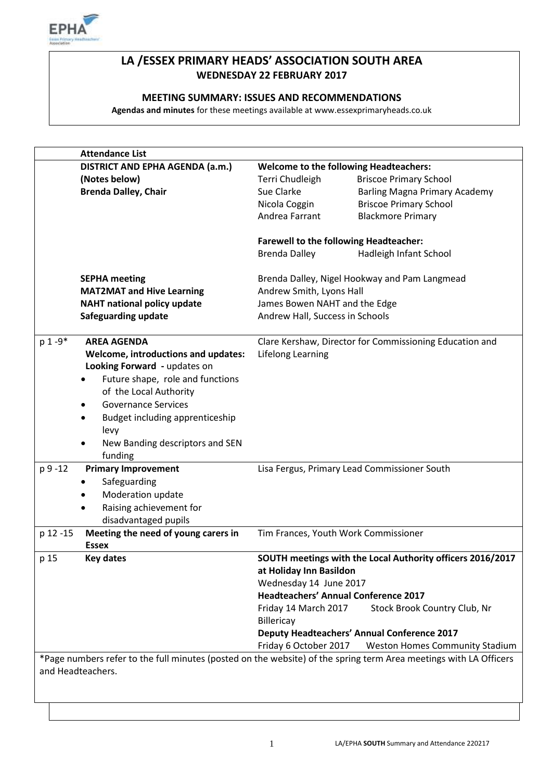

# **LA /ESSEX PRIMARY HEADS' ASSOCIATION SOUTH AREA WEDNESDAY 22 FEBRUARY 2017**

## **MEETING SUMMARY: ISSUES AND RECOMMENDATIONS**

**Agendas and minutes** for these meetings available at www.essexprimaryheads.co.uk

|                                                                                                                   | <b>Attendance List</b>              |                                                         |                                                            |  |
|-------------------------------------------------------------------------------------------------------------------|-------------------------------------|---------------------------------------------------------|------------------------------------------------------------|--|
|                                                                                                                   | DISTRICT AND EPHA AGENDA (a.m.)     | <b>Welcome to the following Headteachers:</b>           |                                                            |  |
|                                                                                                                   | (Notes below)                       | Terri Chudleigh                                         | <b>Briscoe Primary School</b>                              |  |
|                                                                                                                   | <b>Brenda Dalley, Chair</b>         | Sue Clarke                                              | <b>Barling Magna Primary Academy</b>                       |  |
|                                                                                                                   |                                     | Nicola Coggin                                           | <b>Briscoe Primary School</b>                              |  |
|                                                                                                                   |                                     | Andrea Farrant                                          | <b>Blackmore Primary</b>                                   |  |
|                                                                                                                   |                                     |                                                         |                                                            |  |
|                                                                                                                   |                                     | <b>Farewell to the following Headteacher:</b>           |                                                            |  |
|                                                                                                                   |                                     | <b>Brenda Dalley</b>                                    | Hadleigh Infant School                                     |  |
|                                                                                                                   | <b>SEPHA meeting</b>                | Brenda Dalley, Nigel Hookway and Pam Langmead           |                                                            |  |
| <b>MAT2MAT and Hive Learning</b>                                                                                  |                                     | Andrew Smith, Lyons Hall                                |                                                            |  |
| <b>NAHT national policy update</b>                                                                                |                                     | James Bowen NAHT and the Edge                           |                                                            |  |
| <b>Safeguarding update</b>                                                                                        |                                     | Andrew Hall, Success in Schools                         |                                                            |  |
|                                                                                                                   |                                     |                                                         |                                                            |  |
| $p 1 - 9*$                                                                                                        | <b>AREA AGENDA</b>                  | Clare Kershaw, Director for Commissioning Education and |                                                            |  |
| Welcome, introductions and updates:                                                                               |                                     | Lifelong Learning                                       |                                                            |  |
|                                                                                                                   | Looking Forward - updates on        |                                                         |                                                            |  |
|                                                                                                                   | Future shape, role and functions    |                                                         |                                                            |  |
|                                                                                                                   | of the Local Authority              |                                                         |                                                            |  |
|                                                                                                                   | <b>Governance Services</b><br>٠     |                                                         |                                                            |  |
|                                                                                                                   | Budget including apprenticeship     |                                                         |                                                            |  |
|                                                                                                                   | levy                                |                                                         |                                                            |  |
|                                                                                                                   | New Banding descriptors and SEN     |                                                         |                                                            |  |
|                                                                                                                   | funding                             |                                                         |                                                            |  |
| p 9 -12                                                                                                           | <b>Primary Improvement</b>          |                                                         | Lisa Fergus, Primary Lead Commissioner South               |  |
|                                                                                                                   | Safeguarding                        |                                                         |                                                            |  |
|                                                                                                                   | Moderation update                   |                                                         |                                                            |  |
|                                                                                                                   | Raising achievement for             |                                                         |                                                            |  |
|                                                                                                                   | disadvantaged pupils                |                                                         |                                                            |  |
| p 12 -15                                                                                                          | Meeting the need of young carers in |                                                         | Tim Frances, Youth Work Commissioner                       |  |
|                                                                                                                   | <b>Essex</b>                        |                                                         |                                                            |  |
| p 15                                                                                                              | <b>Key dates</b>                    |                                                         | SOUTH meetings with the Local Authority officers 2016/2017 |  |
|                                                                                                                   |                                     | at Holiday Inn Basildon                                 |                                                            |  |
|                                                                                                                   |                                     | Wednesday 14 June 2017                                  |                                                            |  |
|                                                                                                                   |                                     |                                                         | <b>Headteachers' Annual Conference 2017</b>                |  |
|                                                                                                                   |                                     | Friday 14 March 2017                                    | Stock Brook Country Club, Nr                               |  |
|                                                                                                                   |                                     | Billericay                                              |                                                            |  |
|                                                                                                                   |                                     |                                                         | <b>Deputy Headteachers' Annual Conference 2017</b>         |  |
|                                                                                                                   |                                     | Friday 6 October 2017                                   | <b>Weston Homes Community Stadium</b>                      |  |
| *Page numbers refer to the full minutes (posted on the website) of the spring term Area meetings with LA Officers |                                     |                                                         |                                                            |  |
|                                                                                                                   | and Headteachers.                   |                                                         |                                                            |  |
|                                                                                                                   |                                     |                                                         |                                                            |  |
|                                                                                                                   |                                     |                                                         |                                                            |  |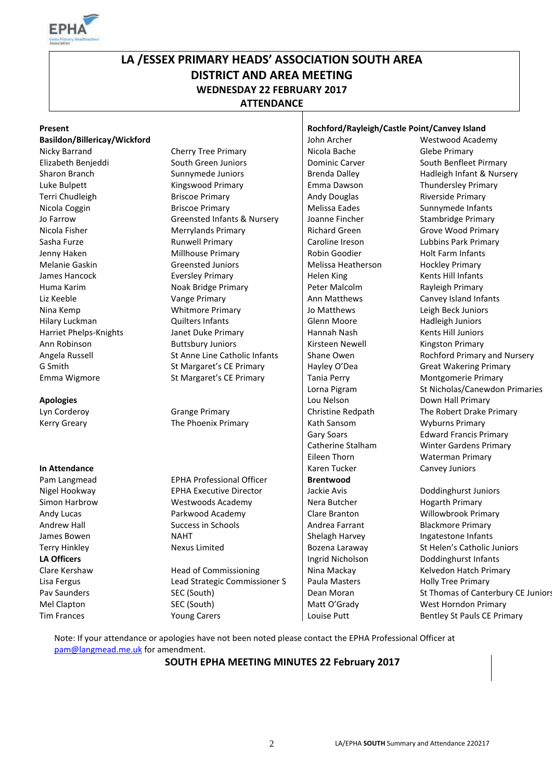

# **LA /ESSEX PRIMARY HEADS' ASSOCIATION SOUTH AREA DISTRICT AND AREA MEETING WEDNESDAY 22 FEBRUARY 2017 ATTENDANCE**

| Present                      |                                  |                       | Rochford/Rayleigh/Castle Point/Canvey Island |  |
|------------------------------|----------------------------------|-----------------------|----------------------------------------------|--|
| Basildon/Billericay/Wickford |                                  | John Archer           | Westwood Academy                             |  |
| Nicky Barrand                | <b>Cherry Tree Primary</b>       | Nicola Bache          | <b>Glebe Primary</b>                         |  |
| Elizabeth Benjeddi           | South Green Juniors              | <b>Dominic Carver</b> | South Benfleet Pirmary                       |  |
| Sharon Branch                | Sunnymede Juniors                | <b>Brenda Dalley</b>  | Hadleigh Infant & Nursery                    |  |
| Luke Bulpett                 | Kingswood Primary                | Emma Dawson           | Thundersley Primary                          |  |
| Terri Chudleigh              | <b>Briscoe Primary</b>           | <b>Andy Douglas</b>   | Riverside Primary                            |  |
| Nicola Coggin                | <b>Briscoe Primary</b>           | Melissa Eades         | Sunnymede Infants                            |  |
| Jo Farrow                    | Greensted Infants & Nursery      | Joanne Fincher        | Stambridge Primary                           |  |
| Nicola Fisher                | <b>Merrylands Primary</b>        | <b>Richard Green</b>  | Grove Wood Primary                           |  |
| Sasha Furze                  | <b>Runwell Primary</b>           | Caroline Ireson       | Lubbins Park Primary                         |  |
| Jenny Haken                  | Millhouse Primary                | Robin Goodier         | Holt Farm Infants                            |  |
| Melanie Gaskin               | <b>Greensted Juniors</b>         | Melissa Heatherson    | <b>Hockley Primary</b>                       |  |
| James Hancock                | <b>Eversley Primary</b>          | <b>Helen King</b>     | Kents Hill Infants                           |  |
| Huma Karim                   | Noak Bridge Primary              | Peter Malcolm         | Rayleigh Primary                             |  |
| Liz Keeble                   | Vange Primary                    | Ann Matthews          | Canvey Island Infants                        |  |
| Nina Kemp                    | <b>Whitmore Primary</b>          | Jo Matthews           | Leigh Beck Juniors                           |  |
| Hilary Luckman               | Quilters Infants                 | Glenn Moore           | Hadleigh Juniors                             |  |
| Harriet Phelps-Knights       | Janet Duke Primary               | Hannah Nash           | <b>Kents Hill Juniors</b>                    |  |
| Ann Robinson                 | <b>Buttsbury Juniors</b>         | Kirsteen Newell       | <b>Kingston Primary</b>                      |  |
| Angela Russell               | St Anne Line Catholic Infants    | Shane Owen            | Rochford Primary and Nursery                 |  |
| G Smith                      | St Margaret's CE Primary         | Hayley O'Dea          | <b>Great Wakering Primary</b>                |  |
| Emma Wigmore                 | St Margaret's CE Primary         | <b>Tania Perry</b>    | Montgomerie Primary                          |  |
|                              |                                  | Lorna Pigram          | St Nicholas/Canewdon Primaries               |  |
| <b>Apologies</b>             |                                  | Lou Nelson            | Down Hall Primary                            |  |
| Lyn Corderoy                 | <b>Grange Primary</b>            | Christine Redpath     | The Robert Drake Primary                     |  |
| <b>Kerry Greary</b>          | The Phoenix Primary              | Kath Sansom           | <b>Wyburns Primary</b>                       |  |
|                              |                                  | Gary Soars            | <b>Edward Francis Primary</b>                |  |
|                              |                                  | Catherine Stalham     | <b>Winter Gardens Primary</b>                |  |
|                              |                                  | Eileen Thorn          | <b>Waterman Primary</b>                      |  |
| In Attendance                |                                  | Karen Tucker          | Canvey Juniors                               |  |
| Pam Langmead                 | <b>EPHA Professional Officer</b> | <b>Brentwood</b>      |                                              |  |
| Nigel Hookway                | <b>EPHA Executive Director</b>   | Jackie Avis           | Doddinghurst Juniors                         |  |
| Simon Harbrow                | Westwoods Academy                | Nera Butcher          | <b>Hogarth Primary</b>                       |  |
| Andy Lucas                   | Parkwood Academy                 | Clare Branton         | Willowbrook Primary                          |  |
| <b>Andrew Hall</b>           | <b>Success in Schools</b>        | Andrea Farrant        | <b>Blackmore Primary</b>                     |  |
| James Bowen                  | <b>NAHT</b>                      | Shelagh Harvey        | Ingatestone Infants                          |  |
| <b>Terry Hinkley</b>         | Nexus Limited                    | Bozena Laraway        | St Helen's Catholic Juniors                  |  |
| <b>LA Officers</b>           |                                  | Ingrid Nicholson      | Doddinghurst Infants                         |  |
| Clare Kershaw                | <b>Head of Commissioning</b>     | Nina Mackay           | Kelvedon Hatch Primary                       |  |
| Lisa Fergus                  | Lead Strategic Commissioner S    | Paula Masters         | <b>Holly Tree Primary</b>                    |  |
| Pav Saunders                 | SEC (South)                      | Dean Moran            | St Thomas of Canterbury CE Juniors           |  |
| Mel Clapton                  | SEC (South)                      | Matt O'Grady          | West Horndon Primary                         |  |
| <b>Tim Frances</b>           | <b>Young Carers</b>              | Louise Putt           | Bentley St Pauls CE Primary                  |  |

Note: If your attendance or apologies have not been noted please contact the EPHA Professional Officer at [pam@langmead.me.uk](mailto:pam@langmead.me.uk) for amendment.

#### **SOUTH EPHA MEETING MINUTES 22 February 2017**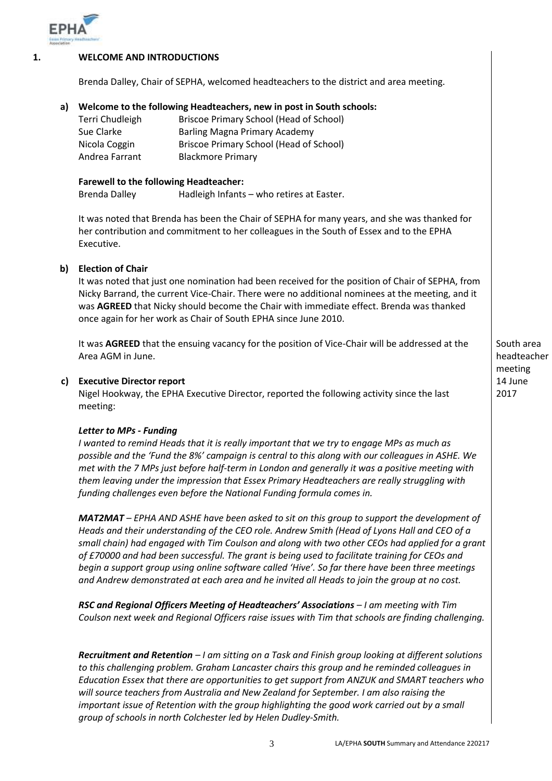

#### **1. WELCOME AND INTRODUCTIONS**

Brenda Dalley, Chair of SEPHA, welcomed headteachers to the district and area meeting.

# **a) Welcome to the following Headteachers, new in post in South schools:**

| Terri Chudleigh | Briscoe Primary School (Head of School) |
|-----------------|-----------------------------------------|
| Sue Clarke      | Barling Magna Primary Academy           |
| Nicola Coggin   | Briscoe Primary School (Head of School) |
| Andrea Farrant  | <b>Blackmore Primary</b>                |

#### **Farewell to the following Headteacher:**

Brenda Dalley Hadleigh Infants – who retires at Easter.

It was noted that Brenda has been the Chair of SEPHA for many years, and she was thanked for her contribution and commitment to her colleagues in the South of Essex and to the EPHA Executive.

#### **b) Election of Chair**

It was noted that just one nomination had been received for the position of Chair of SEPHA, from Nicky Barrand, the current Vice-Chair. There were no additional nominees at the meeting, and it was **AGREED** that Nicky should become the Chair with immediate effect. Brenda was thanked once again for her work as Chair of South EPHA since June 2010.

It was **AGREED** that the ensuing vacancy for the position of Vice-Chair will be addressed at the Area AGM in June.

#### **c) Executive Director report**

Nigel Hookway, the EPHA Executive Director, reported the following activity since the last meeting:

#### *Letter to MPs - Funding*

*I* wanted to remind Heads that it is really important that we try to engage MPs as much as *possible and the 'Fund the 8%' campaign is central to this along with our colleagues in ASHE. We met with the 7 MPs just before half-term in London and generally it was a positive meeting with them leaving under the impression that Essex Primary Headteachers are really struggling with funding challenges even before the National Funding formula comes in.*

*MAT2MAT – EPHA AND ASHE have been asked to sit on this group to support the development of Heads and their understanding of the CEO role. Andrew Smith (Head of Lyons Hall and CEO of a small chain) had engaged with Tim Coulson and along with two other CEOs had applied for a grant of £70000 and had been successful. The grant is being used to facilitate training for CEOs and begin a support group using online software called 'Hive'. So far there have been three meetings and Andrew demonstrated at each area and he invited all Heads to join the group at no cost.*

*RSC and Regional Officers Meeting of Headteachers' Associations – I am meeting with Tim Coulson next week and Regional Officers raise issues with Tim that schools are finding challenging.* 

*Recruitment and Retention – I am sitting on a Task and Finish group looking at different solutions to this challenging problem. Graham Lancaster chairs this group and he reminded colleagues in Education Essex that there are opportunities to get support from ANZUK and SMART teachers who will source teachers from Australia and New Zealand for September. I am also raising the important issue of Retention with the group highlighting the good work carried out by a small group of schools in north Colchester led by Helen Dudley-Smith.*

South area headteacher meeting 14 June 2017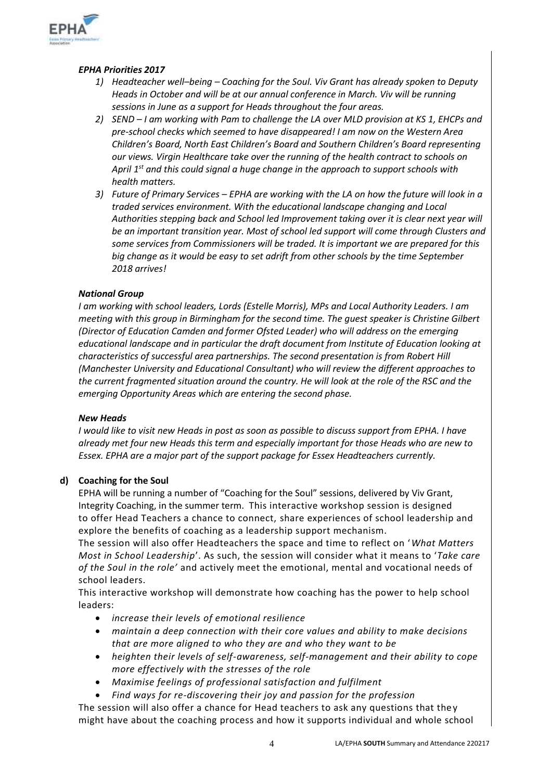

# *EPHA Priorities 2017*

- *1) Headteacher well–being – Coaching for the Soul. Viv Grant has already spoken to Deputy Heads in October and will be at our annual conference in March. Viv will be running sessions in June as a support for Heads throughout the four areas.*
- *2) SEND – I am working with Pam to challenge the LA over MLD provision at KS 1, EHCPs and pre-school checks which seemed to have disappeared! I am now on the Western Area Children's Board, North East Children's Board and Southern Children's Board representing our views. Virgin Healthcare take over the running of the health contract to schools on April 1st and this could signal a huge change in the approach to support schools with health matters.*
- *3) Future of Primary Services – EPHA are working with the LA on how the future will look in a traded services environment. With the educational landscape changing and Local Authorities stepping back and School led Improvement taking over it is clear next year will be an important transition year. Most of school led support will come through Clusters and some services from Commissioners will be traded. It is important we are prepared for this big change as it would be easy to set adrift from other schools by the time September 2018 arrives!*

## *National Group*

*I am working with school leaders, Lords (Estelle Morris), MPs and Local Authority Leaders. I am meeting with this group in Birmingham for the second time. The guest speaker is Christine Gilbert (Director of Education Camden and former Ofsted Leader) who will address on the emerging educational landscape and in particular the draft document from Institute of Education looking at characteristics of successful area partnerships. The second presentation is from Robert Hill (Manchester University and Educational Consultant) who will review the different approaches to the current fragmented situation around the country. He will look at the role of the RSC and the emerging Opportunity Areas which are entering the second phase.* 

#### *New Heads*

*I would like to visit new Heads in post as soon as possible to discuss support from EPHA. I have already met four new Heads this term and especially important for those Heads who are new to Essex. EPHA are a major part of the support package for Essex Headteachers currently.*

# **d) Coaching for the Soul**

EPHA will be running a number of "Coaching for the Soul" sessions, delivered by Viv Grant, Integrity Coaching, in the summer term. This interactive workshop session is designed to offer Head Teachers a chance to connect, share experiences of school leadership and explore the benefits of coaching as a leadership support mechanism.

The session will also offer Headteachers the space and time to reflect on '*What Matters Most in School Leadership*'. As such, the session will consider what it means to '*Take care of the Soul in the role'* and actively meet the emotional, mental and vocational needs of school leaders.

This interactive workshop will demonstrate how coaching has the power to help school leaders:

- *increase their levels of emotional resilience*
- *maintain a deep connection with their core values and ability to make decisions that are more aligned to who they are and who they want to be*
- *heighten their levels of self-awareness, self-management and their ability to cope more effectively with the stresses of the role*
- *Maximise feelings of professional satisfaction and fulfilment*
- *Find ways for re-discovering their joy and passion for the profession* The session will also offer a chance for Head teachers to ask any questions that they might have about the coaching process and how it supports individual and whole school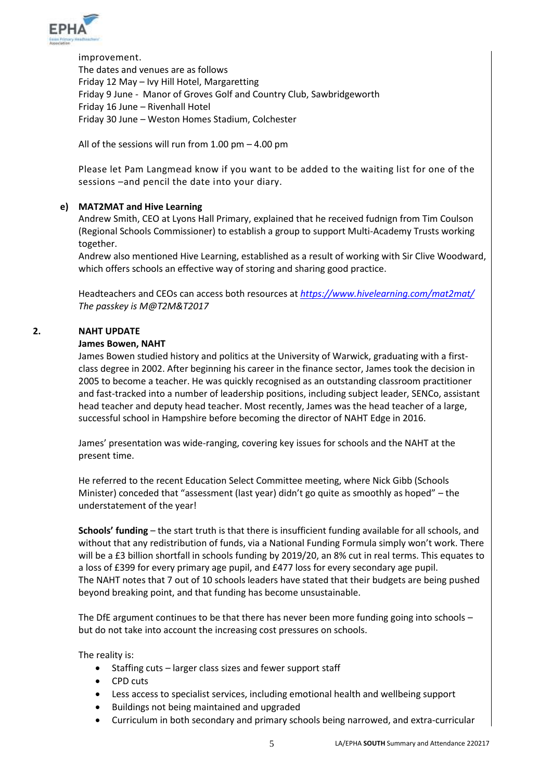

improvement. The dates and venues are as follows Friday 12 May – Ivy Hill Hotel, Margaretting Friday 9 June - Manor of Groves Golf and Country Club, Sawbridgeworth Friday 16 June – Rivenhall Hotel Friday 30 June – Weston Homes Stadium, Colchester

All of the sessions will run from 1.00 pm – 4.00 pm

Please let Pam Langmead know if you want to be added to the waiting list for one of the sessions –and pencil the date into your diary.

## **e) MAT2MAT and Hive Learning**

Andrew Smith, CEO at Lyons Hall Primary, explained that he received fudnign from Tim Coulson (Regional Schools Commissioner) to establish a group to support Multi-Academy Trusts working together.

Andrew also mentioned Hive Learning, established as a result of working with Sir Clive Woodward, which offers schools an effective way of storing and sharing good practice.

Headteachers and CEOs can access both resources at *<https://www.hivelearning.com/mat2mat/> The passkey is M@T2M&T2017*

#### **2. NAHT UPDATE**

#### **James Bowen, NAHT**

James Bowen studied history and politics at the University of Warwick, graduating with a firstclass degree in 2002. After beginning his career in the finance sector, James took the decision in 2005 to become a teacher. He was quickly recognised as an outstanding classroom practitioner and fast-tracked into a number of leadership positions, including subject leader, SENCo, assistant head teacher and deputy head teacher. Most recently, James was the head teacher of a large, successful school in Hampshire before becoming the director of NAHT Edge in 2016.

James' presentation was wide-ranging, covering key issues for schools and the NAHT at the present time.

He referred to the recent Education Select Committee meeting, where Nick Gibb (Schools Minister) conceded that "assessment (last year) didn't go quite as smoothly as hoped" – the understatement of the year!

**Schools' funding** – the start truth is that there is insufficient funding available for all schools, and without that any redistribution of funds, via a National Funding Formula simply won't work. There will be a £3 billion shortfall in schools funding by 2019/20, an 8% cut in real terms. This equates to a loss of £399 for every primary age pupil, and £477 loss for every secondary age pupil. The NAHT notes that 7 out of 10 schools leaders have stated that their budgets are being pushed beyond breaking point, and that funding has become unsustainable.

The DfE argument continues to be that there has never been more funding going into schools – but do not take into account the increasing cost pressures on schools.

The reality is:

- Staffing cuts larger class sizes and fewer support staff
- CPD cuts
- Less access to specialist services, including emotional health and wellbeing support
- Buildings not being maintained and upgraded
- Curriculum in both secondary and primary schools being narrowed, and extra-curricular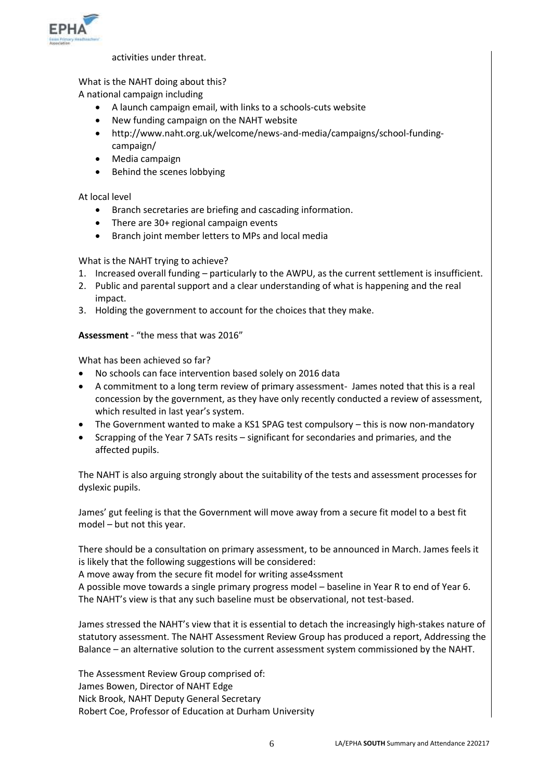

activities under threat.

# What is the NAHT doing about this?

A national campaign including

- A launch campaign email, with links to a schools-cuts website
- New funding campaign on the NAHT website
- http://www.naht.org.uk/welcome/news-and-media/campaigns/school-fundingcampaign/
- Media campaign
- Behind the scenes lobbying

At local level

- Branch secretaries are briefing and cascading information.
- There are 30+ regional campaign events
- Branch joint member letters to MPs and local media

What is the NAHT trying to achieve?

- 1. Increased overall funding particularly to the AWPU, as the current settlement is insufficient.
- 2. Public and parental support and a clear understanding of what is happening and the real impact.
- 3. Holding the government to account for the choices that they make.

## **Assessment** - "the mess that was 2016"

What has been achieved so far?

- No schools can face intervention based solely on 2016 data
- A commitment to a long term review of primary assessment- James noted that this is a real concession by the government, as they have only recently conducted a review of assessment, which resulted in last year's system.
- The Government wanted to make a KS1 SPAG test compulsory this is now non-mandatory
- Scrapping of the Year 7 SATs resits significant for secondaries and primaries, and the affected pupils.

The NAHT is also arguing strongly about the suitability of the tests and assessment processes for dyslexic pupils.

James' gut feeling is that the Government will move away from a secure fit model to a best fit model – but not this year.

There should be a consultation on primary assessment, to be announced in March. James feels it is likely that the following suggestions will be considered:

A move away from the secure fit model for writing asse4ssment

A possible move towards a single primary progress model – baseline in Year R to end of Year 6. The NAHT's view is that any such baseline must be observational, not test-based.

James stressed the NAHT's view that it is essential to detach the increasingly high-stakes nature of statutory assessment. The NAHT Assessment Review Group has produced a report, Addressing the Balance – an alternative solution to the current assessment system commissioned by the NAHT.

The Assessment Review Group comprised of: James Bowen, Director of NAHT Edge Nick Brook, NAHT Deputy General Secretary Robert Coe, Professor of Education at Durham University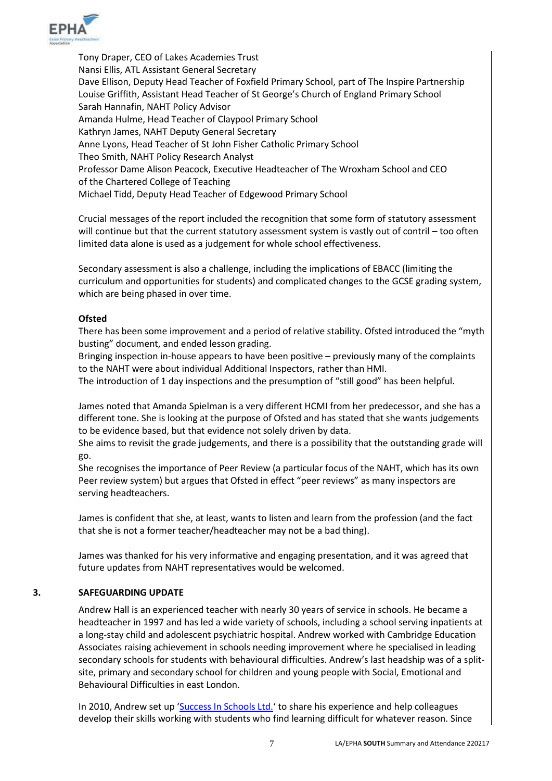

Tony Draper, CEO of Lakes Academies Trust Nansi Ellis, ATL Assistant General Secretary Dave Ellison, Deputy Head Teacher of Foxfield Primary School, part of The Inspire Partnership Louise Griffith, Assistant Head Teacher of St George's Church of England Primary School Sarah Hannafin, NAHT Policy Advisor Amanda Hulme, Head Teacher of Claypool Primary School Kathryn James, NAHT Deputy General Secretary Anne Lyons, Head Teacher of St John Fisher Catholic Primary School Theo Smith, NAHT Policy Research Analyst Professor Dame Alison Peacock, Executive Headteacher of The Wroxham School and CEO of the Chartered College of Teaching Michael Tidd, Deputy Head Teacher of Edgewood Primary School

Crucial messages of the report included the recognition that some form of statutory assessment will continue but that the current statutory assessment system is vastly out of contril – too often limited data alone is used as a judgement for whole school effectiveness.

Secondary assessment is also a challenge, including the implications of EBACC (limiting the curriculum and opportunities for students) and complicated changes to the GCSE grading system, which are being phased in over time.

## **Ofsted**

There has been some improvement and a period of relative stability. Ofsted introduced the "myth busting" document, and ended lesson grading.

Bringing inspection in-house appears to have been positive – previously many of the complaints to the NAHT were about individual Additional Inspectors, rather than HMI.

The introduction of 1 day inspections and the presumption of "still good" has been helpful.

James noted that Amanda Spielman is a very different HCMI from her predecessor, and she has a different tone. She is looking at the purpose of Ofsted and has stated that she wants judgements to be evidence based, but that evidence not solely driven by data.

She aims to revisit the grade judgements, and there is a possibility that the outstanding grade will go.

She recognises the importance of Peer Review (a particular focus of the NAHT, which has its own Peer review system) but argues that Ofsted in effect "peer reviews" as many inspectors are serving headteachers.

James is confident that she, at least, wants to listen and learn from the profession (and the fact that she is not a former teacher/headteacher may not be a bad thing).

James was thanked for his very informative and engaging presentation, and it was agreed that future updates from NAHT representatives would be welcomed.

#### **3. SAFEGUARDING UPDATE**

Andrew Hall is an experienced teacher with nearly 30 years of service in schools. He became a headteacher in 1997 and has led a wide variety of schools, including a school serving inpatients at a long-stay child and adolescent psychiatric hospital. Andrew worked with Cambridge Education Associates raising achievement in schools needing improvement where he specialised in leading secondary schools for students with behavioural difficulties. Andrew's last headship was of a splitsite, primary and secondary school for children and young people with Social, Emotional and Behavioural Difficulties in east London.

In 2010, Andrew set up '[Success In Schools Ltd.](http://www.successinschools.co.uk/home/)' to share his experience and help colleagues develop their skills working with students who find learning difficult for whatever reason. Since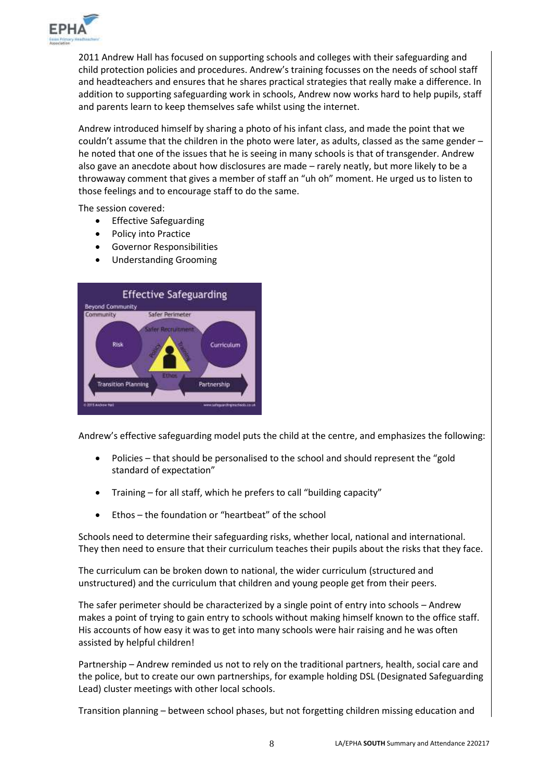

2011 Andrew Hall has focused on supporting schools and colleges with their safeguarding and child protection policies and procedures. Andrew's training focusses on the needs of school staff and headteachers and ensures that he shares practical strategies that really make a difference. In addition to supporting safeguarding work in schools, Andrew now works hard to help pupils, staff and parents learn to keep themselves safe whilst using the internet.

Andrew introduced himself by sharing a photo of his infant class, and made the point that we couldn't assume that the children in the photo were later, as adults, classed as the same gender – he noted that one of the issues that he is seeing in many schools is that of transgender. Andrew also gave an anecdote about how disclosures are made – rarely neatly, but more likely to be a throwaway comment that gives a member of staff an "uh oh" moment. He urged us to listen to those feelings and to encourage staff to do the same.

The session covered:

- Effective Safeguarding
- Policy into Practice
- Governor Responsibilities
- Understanding Grooming



Andrew's effective safeguarding model puts the child at the centre, and emphasizes the following:

- Policies that should be personalised to the school and should represent the "gold standard of expectation"
- Training for all staff, which he prefers to call "building capacity"
- Ethos the foundation or "heartbeat" of the school

Schools need to determine their safeguarding risks, whether local, national and international. They then need to ensure that their curriculum teaches their pupils about the risks that they face.

The curriculum can be broken down to national, the wider curriculum (structured and unstructured) and the curriculum that children and young people get from their peers.

The safer perimeter should be characterized by a single point of entry into schools – Andrew makes a point of trying to gain entry to schools without making himself known to the office staff. His accounts of how easy it was to get into many schools were hair raising and he was often assisted by helpful children!

Partnership – Andrew reminded us not to rely on the traditional partners, health, social care and the police, but to create our own partnerships, for example holding DSL (Designated Safeguarding Lead) cluster meetings with other local schools.

Transition planning – between school phases, but not forgetting children missing education and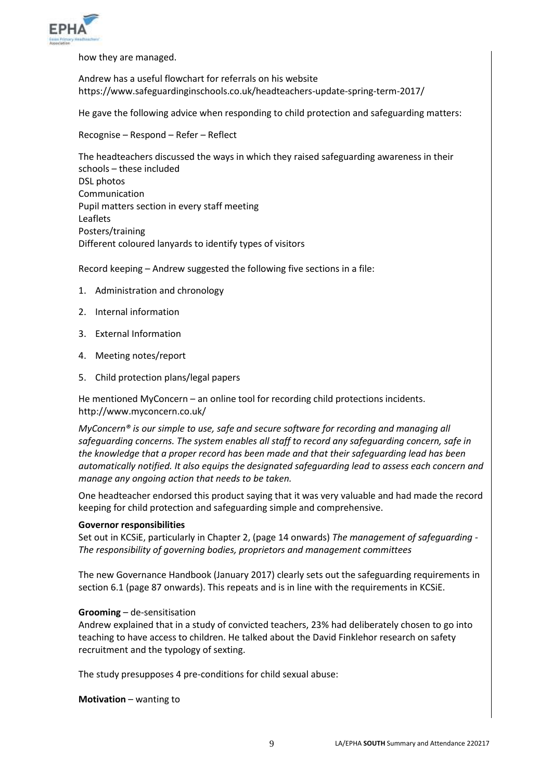

how they are managed.

Andrew has a useful flowchart for referrals on his website https://www.safeguardinginschools.co.uk/headteachers-update-spring-term-2017/

He gave the following advice when responding to child protection and safeguarding matters:

Recognise – Respond – Refer – Reflect

The headteachers discussed the ways in which they raised safeguarding awareness in their schools – these included DSL photos Communication Pupil matters section in every staff meeting Leaflets Posters/training Different coloured lanyards to identify types of visitors

Record keeping – Andrew suggested the following five sections in a file:

- 1. Administration and chronology
- 2. Internal information
- 3. External Information
- 4. Meeting notes/report
- 5. Child protection plans/legal papers

He mentioned MyConcern – an online tool for recording child protections incidents. http://www.myconcern.co.uk/

*MyConcern® is our simple to use, safe and secure software for recording and managing all safeguarding concerns. The system enables all staff to record any safeguarding concern, safe in the knowledge that a proper record has been made and that their safeguarding lead has been automatically notified. It also equips the designated safeguarding lead to assess each concern and manage any ongoing action that needs to be taken.* 

One headteacher endorsed this product saying that it was very valuable and had made the record keeping for child protection and safeguarding simple and comprehensive.

#### **Governor responsibilities**

Set out in KCSiE, particularly in Chapter 2, (page 14 onwards) *The management of safeguarding - The responsibility of governing bodies, proprietors and management committees*

The new Governance Handbook (January 2017) clearly sets out the safeguarding requirements in section 6.1 (page 87 onwards). This repeats and is in line with the requirements in KCSiE.

#### **Grooming** – de-sensitisation

Andrew explained that in a study of convicted teachers, 23% had deliberately chosen to go into teaching to have access to children. He talked about the David Finklehor research on safety recruitment and the typology of sexting.

The study presupposes 4 pre-conditions for child sexual abuse:

**Motivation** – wanting to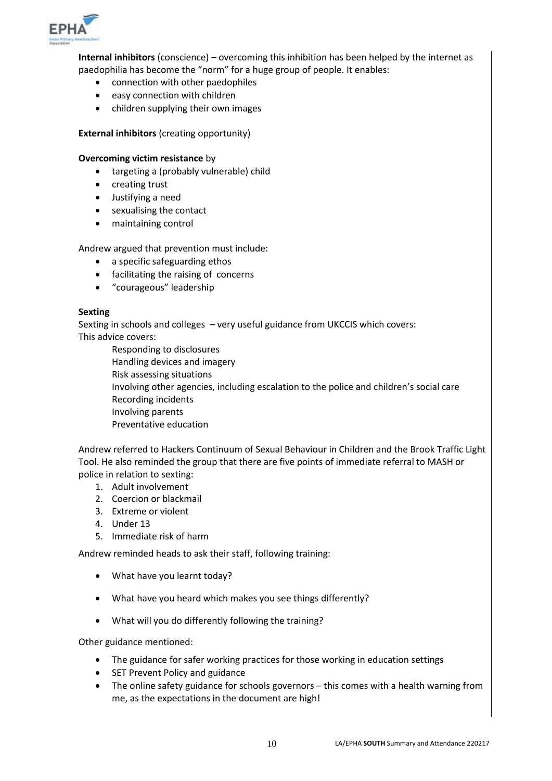

**Internal inhibitors** (conscience) – overcoming this inhibition has been helped by the internet as paedophilia has become the "norm" for a huge group of people. It enables:

- connection with other paedophiles
- easy connection with children
- children supplying their own images

**External inhibitors** (creating opportunity)

#### **Overcoming victim resistance** by

- targeting a (probably vulnerable) child
- creating trust
- Justifying a need
- sexualising the contact
- maintaining control

Andrew argued that prevention must include:

- a specific safeguarding ethos
- facilitating the raising of concerns
- "courageous" leadership

#### **Sexting**

Sexting in schools and colleges – very useful guidance from UKCCIS which covers: This advice covers:

Responding to disclosures Handling devices and imagery Risk assessing situations Involving other agencies, including escalation to the police and children's social care Recording incidents Involving parents Preventative education

Andrew referred to Hackers Continuum of Sexual Behaviour in Children and the Brook Traffic Light Tool. He also reminded the group that there are five points of immediate referral to MASH or police in relation to sexting:

- 1. Adult involvement
- 2. Coercion or blackmail
- 3. Extreme or violent
- 4. Under 13
- 5. Immediate risk of harm

Andrew reminded heads to ask their staff, following training:

- What have you learnt today?
- What have you heard which makes you see things differently?
- What will you do differently following the training?

Other guidance mentioned:

- The guidance for safer working practices for those working in education settings
- SET Prevent Policy and guidance
- The online safety guidance for schools governors this comes with a health warning from me, as the expectations in the document are high!